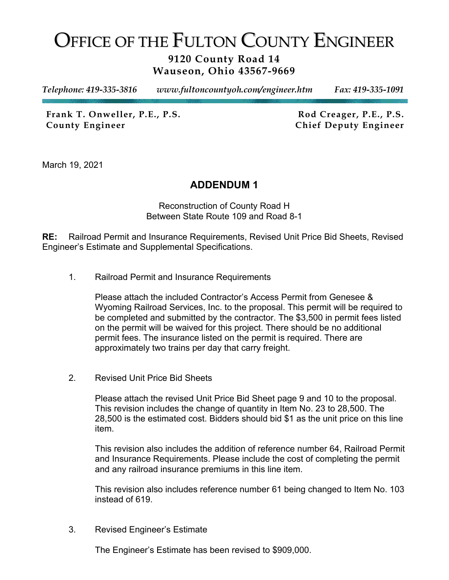# OFFICE OF THE FULTON COUNTY ENGINEER

# **9120 County Road 14 Wauseon, Ohio 43567-9669**

*Telephone: 419-335-3816 www.fultoncountyoh.com/engineer.htm Fax: 419-335-1091* 

Frank T. Onweller, P.E., P.S. Rod Creager, P.E., P.S. **County Engineer Chief Deputy Engineer**

March 19, 2021

# **ADDENDUM 1**

Reconstruction of County Road H Between State Route 109 and Road 8-1

**RE:** Railroad Permit and Insurance Requirements, Revised Unit Price Bid Sheets, Revised Engineer's Estimate and Supplemental Specifications.

1. Railroad Permit and Insurance Requirements

Please attach the included Contractor's Access Permit from Genesee & Wyoming Railroad Services, Inc. to the proposal. This permit will be required to be completed and submitted by the contractor. The \$3,500 in permit fees listed on the permit will be waived for this project. There should be no additional permit fees. The insurance listed on the permit is required. There are approximately two trains per day that carry freight.

2. Revised Unit Price Bid Sheets

Please attach the revised Unit Price Bid Sheet page 9 and 10 to the proposal. This revision includes the change of quantity in Item No. 23 to 28,500. The 28,500 is the estimated cost. Bidders should bid \$1 as the unit price on this line item.

This revision also includes the addition of reference number 64, Railroad Permit and Insurance Requirements. Please include the cost of completing the permit and any railroad insurance premiums in this line item.

This revision also includes reference number 61 being changed to Item No. 103 instead of 619.

3. Revised Engineer's Estimate

The Engineer's Estimate has been revised to \$909,000.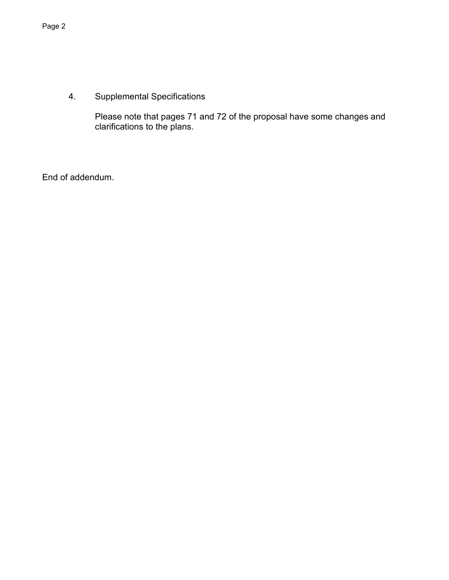4. Supplemental Specifications

Please note that pages 71 and 72 of the proposal have some changes and clarifications to the plans.

End of addendum.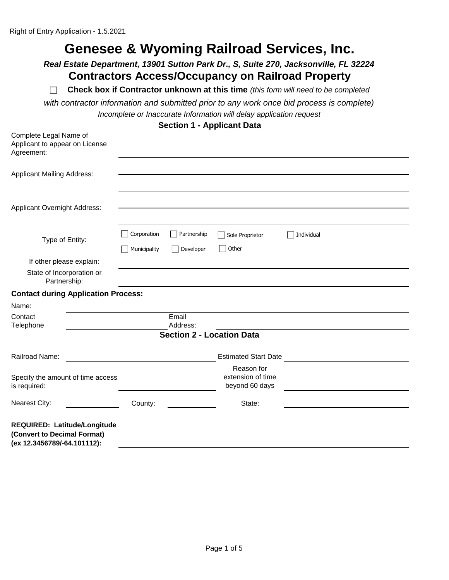|                                                                                            |              |                                  |                                                                     | Genesee & Wyoming Railroad Services, Inc.                                                                                                       |
|--------------------------------------------------------------------------------------------|--------------|----------------------------------|---------------------------------------------------------------------|-------------------------------------------------------------------------------------------------------------------------------------------------|
|                                                                                            |              |                                  |                                                                     | Real Estate Department, 13901 Sutton Park Dr., S, Suite 270, Jacksonville, FL 32224<br><b>Contractors Access/Occupancy on Railroad Property</b> |
|                                                                                            |              |                                  |                                                                     | Check box if Contractor unknown at this time (this form will need to be completed                                                               |
|                                                                                            |              |                                  |                                                                     | with contractor information and submitted prior to any work once bid process is complete)                                                       |
|                                                                                            |              |                                  | Incomplete or Inaccurate Information will delay application request |                                                                                                                                                 |
|                                                                                            |              |                                  | <b>Section 1 - Applicant Data</b>                                   |                                                                                                                                                 |
| Complete Legal Name of<br>Applicant to appear on License<br>Agreement:                     |              |                                  |                                                                     |                                                                                                                                                 |
| <b>Applicant Mailing Address:</b>                                                          |              |                                  |                                                                     |                                                                                                                                                 |
| <b>Applicant Overnight Address:</b>                                                        |              |                                  |                                                                     |                                                                                                                                                 |
| Type of Entity:                                                                            | Corporation  | Partnership                      | Sole Proprietor                                                     | Individual                                                                                                                                      |
|                                                                                            | Municipality | Developer                        | Other                                                               |                                                                                                                                                 |
| If other please explain:                                                                   |              |                                  |                                                                     |                                                                                                                                                 |
| State of Incorporation or<br>Partnership:                                                  |              |                                  |                                                                     |                                                                                                                                                 |
| <b>Contact during Application Process:</b>                                                 |              |                                  |                                                                     |                                                                                                                                                 |
| Name:                                                                                      |              |                                  |                                                                     |                                                                                                                                                 |
| Contact<br>Telephone                                                                       |              | Email<br>Address:                |                                                                     |                                                                                                                                                 |
|                                                                                            |              | <b>Section 2 - Location Data</b> |                                                                     |                                                                                                                                                 |
|                                                                                            |              |                                  |                                                                     |                                                                                                                                                 |
| Railroad Name:                                                                             |              |                                  | <b>Estimated Start Date</b>                                         |                                                                                                                                                 |
| Specify the amount of time access<br>is required:                                          |              |                                  | Reason for<br>extension of time<br>beyond 60 days                   |                                                                                                                                                 |
| Nearest City:                                                                              | County:      |                                  | State:                                                              |                                                                                                                                                 |
| REQUIRED: Latitude/Longitude<br>(Convert to Decimal Format)<br>(ex 12.3456789/-64.101112): |              |                                  |                                                                     |                                                                                                                                                 |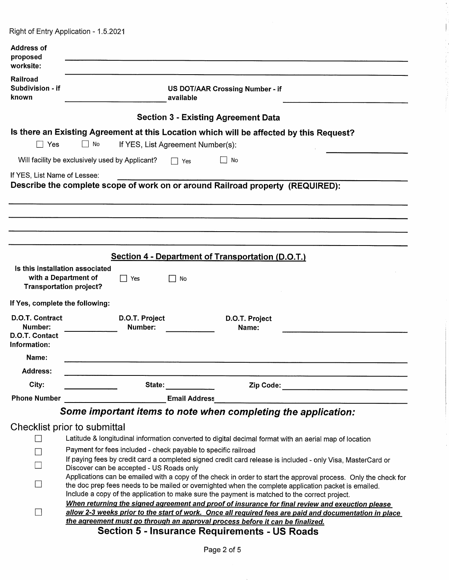| <b>Address of</b><br>proposed                                                             |                                                                                                                                                                                                                         |
|-------------------------------------------------------------------------------------------|-------------------------------------------------------------------------------------------------------------------------------------------------------------------------------------------------------------------------|
| worksite:                                                                                 |                                                                                                                                                                                                                         |
| Railroad<br>Subdivision - if<br>known                                                     | <b>US DOT/AAR Crossing Number - if</b><br>available                                                                                                                                                                     |
|                                                                                           | <b>Section 3 - Existing Agreement Data</b>                                                                                                                                                                              |
| Yes                                                                                       | Is there an Existing Agreement at this Location which will be affected by this Request?<br>If YES, List Agreement Number(s):<br>No                                                                                      |
|                                                                                           | Will facility be exclusively used by Applicant?<br>l I No<br>$\Box$ Yes                                                                                                                                                 |
| If YES, List Name of Lessee:                                                              |                                                                                                                                                                                                                         |
|                                                                                           | Describe the complete scope of work on or around Railroad property (REQUIRED):                                                                                                                                          |
|                                                                                           |                                                                                                                                                                                                                         |
|                                                                                           |                                                                                                                                                                                                                         |
|                                                                                           |                                                                                                                                                                                                                         |
|                                                                                           |                                                                                                                                                                                                                         |
|                                                                                           | Section 4 - Department of Transportation (D.O.T.)                                                                                                                                                                       |
| Is this installation associated<br>with a Department of<br><b>Transportation project?</b> | $\blacksquare$<br>Yes<br>No                                                                                                                                                                                             |
| If Yes, complete the following:                                                           |                                                                                                                                                                                                                         |
| D.O.T. Contract                                                                           | D.O.T. Project<br>D.O.T. Project                                                                                                                                                                                        |
| Number:<br>D.O.T. Contact                                                                 | <b>Number:</b><br>Name:                                                                                                                                                                                                 |
| Information:                                                                              |                                                                                                                                                                                                                         |
| Name:                                                                                     |                                                                                                                                                                                                                         |
| <b>Address:</b>                                                                           |                                                                                                                                                                                                                         |
| City:                                                                                     | State:<br>Zip Code:                                                                                                                                                                                                     |
| <b>Phone Number</b>                                                                       | <b>Email Address</b>                                                                                                                                                                                                    |
|                                                                                           | Some important items to note when completing the application:                                                                                                                                                           |
|                                                                                           | Checklist prior to submittal                                                                                                                                                                                            |
|                                                                                           | Latitude & longitudinal information converted to digital decimal format with an aerial map of location                                                                                                                  |
|                                                                                           | Payment for fees included - check payable to specific railroad                                                                                                                                                          |
|                                                                                           | If paying fees by credit card a completed signed credit card release is included - only Visa, MasterCard or                                                                                                             |
|                                                                                           | Discover can be accepted - US Roads only                                                                                                                                                                                |
| $\Box$                                                                                    | Applications can be emailed with a copy of the check in order to start the approval process. Only the check for<br>the doc prep fees needs to be mailed or overnighted when the complete application packet is emailed. |
|                                                                                           | Include a copy of the application to make sure the payment is matched to the correct project.                                                                                                                           |
|                                                                                           | When returning the signed agreement and proof of insurance for final review and exeuction please                                                                                                                        |
| $\Box$                                                                                    | allow 2-3 weeks prior to the start of work. Once all required fees are paid and documentation in place<br>the agreement must go through an approval process before it can be finalized.                                 |

 $\mathcal{H}$ 

 $\begin{array}{c} \begin{array}{c} \end{array} \end{array}$ 

Ť

Section 5 - Insurance Requirements - US Roads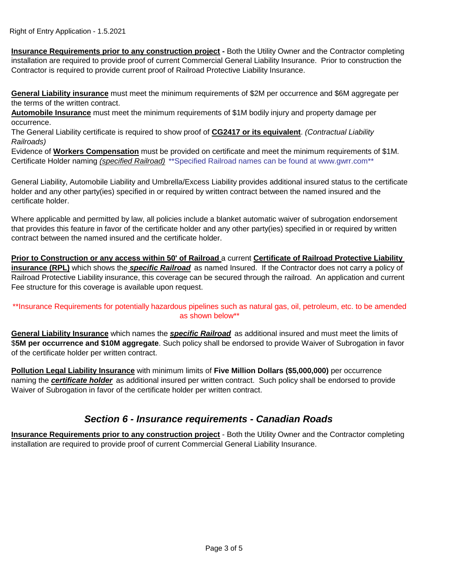**Insurance Requirements prior to any construction project** - Both the Utility Owner and the Contractor completing installation are required to provide proof of current Commercial General Liability Insurance. Prior to construction the Contractor is required to provide current proof of Railroad Protective Liability Insurance.

**General Liability insurance** must meet the minimum requirements of \$2M per occurrence and \$6M aggregate per the terms of the written contract.

**Automobile Insurance** must meet the minimum requirements of \$1M bodily injury and property damage per occurrence.

The General Liability certificate is required to show proof of **CG2417 or its equivalent**. *(Contractual Liability Railroads)*

Evidence of **Workers Compensation** must be provided on certificate and meet the minimum requirements of \$1M. Certificate Holder naming *(specified Railroad)* \*\*Specified Railroad names can be found at www.gwrr.com\*\*

General Liability, Automobile Liability and Umbrella/Excess Liability provides additional insured status to the certificate holder and any other party(ies) specified in or required by written contract between the named insured and the certificate holder.

Where applicable and permitted by law, all policies include a blanket automatic waiver of subrogation endorsement that provides this feature in favor of the certificate holder and any other party(ies) specified in or required by written contract between the named insured and the certificate holder.

**Prior to Construction or any access within 50' of Railroad** a current **Certificate of Railroad Protective Liability insurance (RPL)** which shows the *specific Railroad* as named Insured. If the Contractor does not carry a policy of Railroad Protective Liability insurance, this coverage can be secured through the railroad. An application and current Fee structure for this coverage is available upon request.

#### \*\*Insurance Requirements for potentially hazardous pipelines such as natural gas, oil, petroleum, etc. to be amended as shown below\*\*

**General Liability Insurance** which names the *specific Railroad* as additional insured and must meet the limits of \$**5M per occurrence and \$10M aggregate**. Such policy shall be endorsed to provide Waiver of Subrogation in favor of the certificate holder per written contract.

**Pollution Legal Liability Insurance** with minimum limits of **Five Million Dollars (\$5,000,000)** per occurrence naming the *certificate holder* as additional insured per written contract. Such policy shall be endorsed to provide Waiver of Subrogation in favor of the certificate holder per written contract.

## *Section 6 - Insurance requirements - Canadian Roads*

**Insurance Requirements prior to any construction project** - Both the Utility Owner and the Contractor completing installation are required to provide proof of current Commercial General Liability Insurance.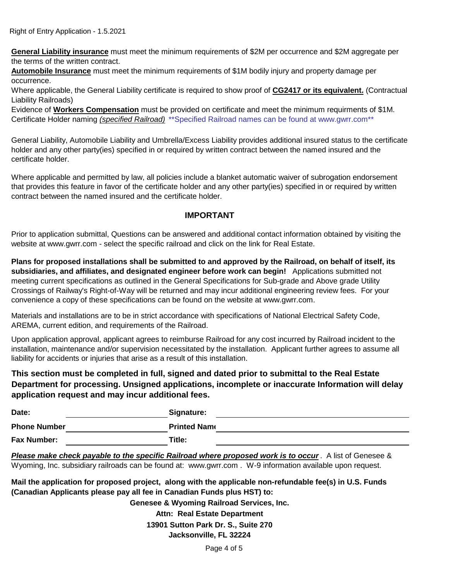**General Liability insurance** must meet the minimum requirements of \$2M per occurrence and \$2M aggregate per the terms of the written contract.

**Automobile Insurance** must meet the minimum requirements of \$1M bodily injury and property damage per occurrence.

Where applicable, the General Liability certificate is required to show proof of **CG2417 or its equivalent.** (Contractual Liability Railroads)

Evidence of **Workers Compensation** must be provided on certificate and meet the minimum requirments of \$1M. Certificate Holder naming *(specified Railroad)* \*\*Specified Railroad names can be found at www.gwrr.com\*\*

General Liability, Automobile Liability and Umbrella/Excess Liability provides additional insured status to the certificate holder and any other party(ies) specified in or required by written contract between the named insured and the certificate holder.

Where applicable and permitted by law, all policies include a blanket automatic waiver of subrogation endorsement that provides this feature in favor of the certificate holder and any other party(ies) specified in or required by written contract between the named insured and the certificate holder.

#### **IMPORTANT**

Prior to application submittal, Questions can be answered and additional contact information obtained by visiting the website at www.gwrr.com - select the specific railroad and click on the link for Real Estate.

**Plans for proposed installations shall be submitted to and approved by the Railroad, on behalf of itself, its subsidiaries, and affiliates, and designated engineer before work can begin!** Applications submitted not meeting current specifications as outlined in the General Specifications for Sub-grade and Above grade Utility Crossings of Railway's Right-of-Way will be returned and may incur additional engineering review fees. For your convenience a copy of these specifications can be found on the website at www.gwrr.com.

Materials and installations are to be in strict accordance with specifications of National Electrical Safety Code, AREMA, current edition, and requirements of the Railroad.

Upon application approval, applicant agrees to reimburse Railroad for any cost incurred by Railroad incident to the installation, maintenance and/or supervision necessitated by the installation. Applicant further agrees to assume all liability for accidents or injuries that arise as a result of this installation.

### **This section must be completed in full, signed and dated prior to submittal to the Real Estate Department for processing. Unsigned applications, incomplete or inaccurate Information will delay application request and may incur additional fees.**

| Date:               | Signature:          |
|---------------------|---------------------|
| <b>Phone Number</b> | <b>Printed Name</b> |
| <b>Fax Number:</b>  | Title:              |

*Please make check payable to the specific Railroad where proposed work is to occur*. A list of Genesee & Wyoming, Inc. subsidiary railroads can be found at: www.gwrr.com . W-9 information available upon request.

**Mail the application for proposed project, along with the applicable non-refundable fee(s) in U.S. Funds (Canadian Applicants please pay all fee in Canadian Funds plus HST) to:**

> **Attn: Real Estate Department 13901 Sutton Park Dr. S., Suite 270 Jacksonville, FL 32224 Genesee & Wyoming Railroad Services, Inc.**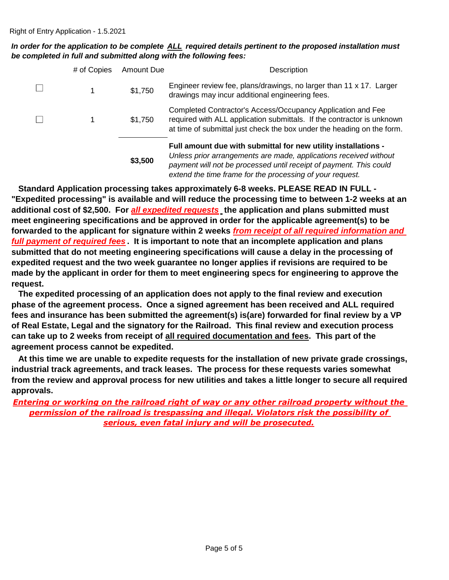*In order for the application to be complete ALL required details pertinent to the proposed installation must be completed in full and submitted along with the following fees:*

| # of Copies | Amount Due | <b>Description</b>                                                                                                                                                                                                                                                     |
|-------------|------------|------------------------------------------------------------------------------------------------------------------------------------------------------------------------------------------------------------------------------------------------------------------------|
|             | \$1,750    | Engineer review fee, plans/drawings, no larger than 11 x 17. Larger<br>drawings may incur additional engineering fees.                                                                                                                                                 |
|             | \$1,750    | Completed Contractor's Access/Occupancy Application and Fee<br>required with ALL application submittals. If the contractor is unknown<br>at time of submittal just check the box under the heading on the form.                                                        |
|             | \$3,500    | Full amount due with submittal for new utility installations -<br>Unless prior arrangements are made, applications received without<br>payment will not be processed until receipt of payment. This could<br>extend the time frame for the processing of your request. |

 **Standard Application processing takes approximately 6-8 weeks. PLEASE READ IN FULL - "Expedited processing" is available and will reduce the processing time to between 1-2 weeks at an additional cost of \$2,500. For** *all expedited requests* **the application and plans submitted must meet engineering specifications and be approved in order for the applicable agreement(s) to be forwarded to the applicant for signature within 2 weeks** *from receipt of all required information and full payment of required fees* **. It is important to note that an incomplete application and plans submitted that do not meeting engineering specifications will cause a delay in the processing of expedited request and the two week guarantee no longer applies if revisions are required to be made by the applicant in order for them to meet engineering specs for engineering to approve the request.** 

 **The expedited processing of an application does not apply to the final review and execution phase of the agreement process. Once a signed agreement has been received and ALL required fees and insurance has been submitted the agreement(s) is(are) forwarded for final review by a VP of Real Estate, Legal and the signatory for the Railroad. This final review and execution process can take up to 2 weeks from receipt of all required documentation and fees. This part of the agreement process cannot be expedited.**

 **At this time we are unable to expedite requests for the installation of new private grade crossings, industrial track agreements, and track leases. The process for these requests varies somewhat from the review and approval process for new utilities and takes a little longer to secure all required approvals.** 

*Entering or working on the railroad right of way or any other railroad property without the permission of the railroad is trespassing and illegal. Violators risk the possibility of serious, even fatal injury and will be prosecuted.*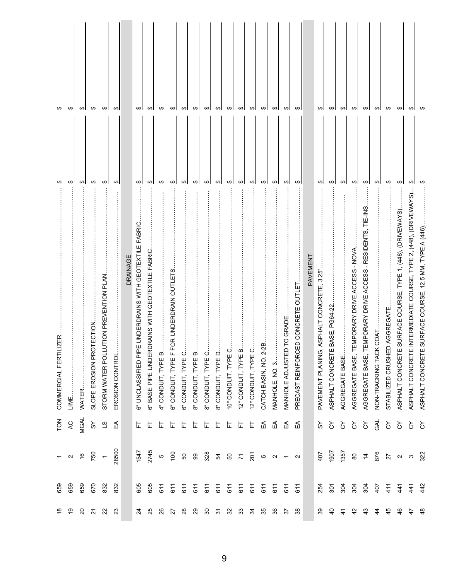| ↮<br>⇔∣<br>IZER. | ↮<br>↮               | $\Theta$<br>$\boldsymbol{\varphi}$ | ↮<br>↮                    | ↮<br>$\boldsymbol{\varphi}$           | ↮<br>↮            | DRAINAGE | ↮<br>↮<br>6" UNCLASSIFIED PIPE UNDERDRAINS WITH GEOTEXTILE FABRIC | ↮<br>↮<br>6" BASE PIPE UNDERDRAINS WITH GEOTEXTILE FABRIC. | ↔<br>↮              | ↮<br>↮                                 | ↮<br>↮           | ↮<br>↮              | ↮<br>↮           | $\Theta$<br>↮       | ↮<br>↮               | ↮<br>↮               | ↮<br>↮              | ↮<br>↮                                | ↮<br>↮          | ↮<br>↮<br>TO GRADE      | ↔<br>↔                              | PAVEMENT | ↮<br>↮<br>ASPHALT CONCRETE, 3.25". | ക<br>↮<br>BASE, PG64-22 | ↮<br>↮          | ↮<br>↔<br>AGGREGATE BASE, TEMPORARY DRIVE ACCESS - NOVA | ↮<br>↮<br>AGGREGATE BASE, TEMPORARY DRIVE ACCESS - RESIDENTS, TIE-INS | $\boldsymbol{\varphi}$<br>കി | ↮<br>$\boldsymbol{\varphi}$   |                  | ↮<br>↮<br>SURFACE COURSE, TYPE 1, (448), (DRIVEWAYS).                |
|------------------|----------------------|------------------------------------|---------------------------|---------------------------------------|-------------------|----------|-------------------------------------------------------------------|------------------------------------------------------------|---------------------|----------------------------------------|------------------|---------------------|------------------|---------------------|----------------------|----------------------|---------------------|---------------------------------------|-----------------|-------------------------|-------------------------------------|----------|------------------------------------|-------------------------|-----------------|---------------------------------------------------------|-----------------------------------------------------------------------|------------------------------|-------------------------------|------------------|----------------------------------------------------------------------|
|                  |                      |                                    | SLOPE EROSION PROTECTION. | STORM WATER POLLUTION PREVENTION PLAN | EROSION CONTROL   |          |                                                                   |                                                            | 4" CONDUIT, TYPE B. | CONDUIT, TYPE F FOR UNDERDRAIN OUTLETS | CONDUIT, TYPE C. | 8" CONDUIT, TYPE B. | CONDUIT, TYPE C. | 8" CONDUIT, TYPE D. | 10" CONDUIT, TYPE C. | 12" CONDUIT, TYPE B. | 12" CONDUIT, TYPE C | :<br>ف<br>$2 - 2$<br>CATCH BASIN, NO. | MANHOLE, NO. 3. | <b>MANHOLE ADJUSTED</b> | PRECAST REINFORCED CONCRETE OUTLET. |          | PAVEMENT PLANING                   | ASPHALT CONCRETE        | AGGREGATE BASE. |                                                         |                                                                       | COAT.<br>NON-TRACKING TACK   | STABILIZED CRUSHED AGGREGATE. | ASPHALT CONCRETE | INTERMEDIATE COURSE, TYPE 2, (448), (DRIVEWAYS).<br>ASPHALT CONCRETE |
|                  | LIME.<br>$\lambda C$ | <b>WATER</b><br><b>MGAL</b>        | $\frac{8}{3}$             | $\overline{3}$                        | $\widetilde{\Xi}$ |          | 됴                                                                 | 됴                                                          | 됴                   | ق.<br>匠                                | ق.<br>©<br>됴     | 됴                   | $\bar{c}$<br>丘   | 岀                   | 됴                    | 丘                    | 岀                   | ₹                                     | ⊕               | ⊕                       | ₹                                   |          | š                                  | े                       | े               | ें                                                      | ें                                                                    | ङ                            | े                             | ৈ                | े                                                                    |
|                  |                      |                                    |                           |                                       |                   |          |                                                                   |                                                            |                     |                                        |                  |                     |                  |                     |                      |                      |                     |                                       |                 |                         |                                     |          |                                    |                         |                 |                                                         |                                                                       |                              |                               |                  |                                                                      |
|                  | $\sim$               | $\frac{6}{5}$                      | 750                       |                                       | 28500             |          | 1547                                                              | 2745                                                       | $\mathfrak{g}$      | $\frac{1}{2}$                          | SO               | 99                  | 328              | 54                  | 50                   | $\mathcal{L}% _{0}$  | 201                 | Ю                                     | $\sim$          |                         | $\sim$                              |          | 407                                | 1907                    | 1357            | $\rm ^{\rm o}$                                          | $\overline{4}$                                                        | 876                          | 27                            | $\sim$ $\sim$    |                                                                      |
| 659              | 659                  | 659                                | 670                       | 832                                   | 832               |          | 605                                                               | 605                                                        | 611                 | 611                                    | 611              | 611                 | 611              | 611                 | 611                  | 611                  | 611                 | 611                                   | 611             | $\tilde{5}$             | 611                                 |          | 254                                | 301                     | 304             | 304                                                     | 304                                                                   | 407                          | 411                           | 44               | 44                                                                   |
| $\frac{8}{1}$    | စ္                   | $\overline{20}$                    | $\tilde{\sim}$            | 22                                    | 23                |          | $\mathcal{Z}$                                                     | 25                                                         | 26                  | 27                                     | 28               | 29                  | $30^{\circ}$     | $\tilde{\bm{c}}$    | 32                   | 33                   | 34                  | 35                                    | 36              | 57                      | 38                                  |          | 39                                 | $\overline{4}$          | $\frac{4}{7}$   | $\overline{4}$                                          | $\frac{3}{4}$                                                         | $\frac{4}{3}$                | 45                            | 46               | 47                                                                   |